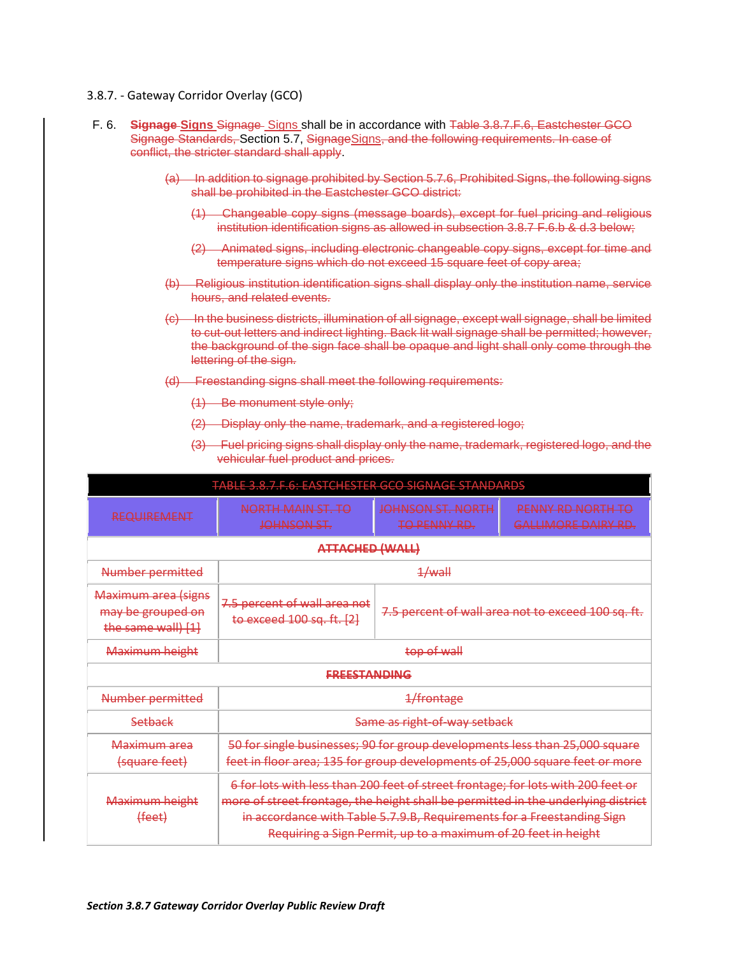# 3.8.7. - Gateway Corridor Overlay (GCO)

- F. 6. **Signage Signs** Signage Signs shall be in accordance with Table 3.8.7.F.6, Eastchester GCO Signage Standards, Section 5.7, SignageSigns, and the following requirements. In case of conflict, the stricter standard shall apply.
	- (a) In addition to signage prohibited by Section 5.7.6, Prohibited Signs, the following signs shall be prohibited in the Eastchester GCO district:
		- (1) Changeable copy signs (message boards), except for fuel pricing and religious institution identification signs as allowed in subsection 3.8.7 F.6.b & d.3 below;
		- (2) Animated signs, including electronic changeable copy signs, except for time and temperature signs which do not exceed 15 square feet of copy area;
	- (b) Religious institution identification signs shall display only the institution name, service hours, and related events.
	- (c) In the business districts, illumination of all signage, except wall signage, shall be limited to cut-out letters and indirect lighting. Back lit wall signage shall be permitted; however, the background of the sign face shall be opaque and light shall only come through the lettering of the sign.
	- (d) Freestanding signs shall meet the following requirements:
		- (1) Be monument style only;
		- (2) Display only the name, trademark, and a registered logo;
		- (3) Fuel pricing signs shall display only the name, trademark, registered logo, and the vehicular fuel product and prices.

| TABLE 2 Q 7 E G. EASTCHESTED GCO SIGNAGE STANDARDS<br><u>5.0.7.1.0. EASTCHESTER OCO SIGNAGE 3TAINDANDS</u> |                                                                                                                                                                                                                                                                                                                  |                                                     |                                                 |
|------------------------------------------------------------------------------------------------------------|------------------------------------------------------------------------------------------------------------------------------------------------------------------------------------------------------------------------------------------------------------------------------------------------------------------|-----------------------------------------------------|-------------------------------------------------|
| <b>REQUIREMENT</b>                                                                                         | NORTH MAIN ST. TO<br>JOHNSON ST.                                                                                                                                                                                                                                                                                 | <del>JOHNSON ST. NORTH</del><br><b>TO PENNY RD.</b> | <b>PENNY RD NORTH TO</b><br>GALLIMORE DAIRY RD. |
| ATTACHED (WALL)                                                                                            |                                                                                                                                                                                                                                                                                                                  |                                                     |                                                 |
| <b>Number permitted</b>                                                                                    | 1/wall                                                                                                                                                                                                                                                                                                           |                                                     |                                                 |
| <b>Maximum area (signs</b><br>may be grouped on<br>the same wall) [1]                                      | 7.5 percent of wall area not<br>to exceed 100 sq. ft. [2]                                                                                                                                                                                                                                                        | 7.5 percent of wall area not to exceed 100 sq. ft.  |                                                 |
| Maximum height                                                                                             | top of wall                                                                                                                                                                                                                                                                                                      |                                                     |                                                 |
| <b>FREESTANDING</b>                                                                                        |                                                                                                                                                                                                                                                                                                                  |                                                     |                                                 |
| Number permitted                                                                                           | 1/frontage                                                                                                                                                                                                                                                                                                       |                                                     |                                                 |
| Setback                                                                                                    | Same as right-of-way setback                                                                                                                                                                                                                                                                                     |                                                     |                                                 |
| <del>Maximum area</del><br>(square feet)                                                                   | 50 for single businesses; 90 for group developments less than 25,000 square<br>feet in floor area; 135 for group developments of 25,000 square feet or more                                                                                                                                                      |                                                     |                                                 |
| Maximum height<br>(feet)                                                                                   | 6 for lots with less than 200 feet of street frontage; for lots with 200 feet or<br>more of street frontage, the height shall be permitted in the underlying district<br>in accordance with Table 5.7.9.B, Requirements for a Freestanding Sign<br>Requiring a Sign Permit, up to a maximum of 20 feet in height |                                                     |                                                 |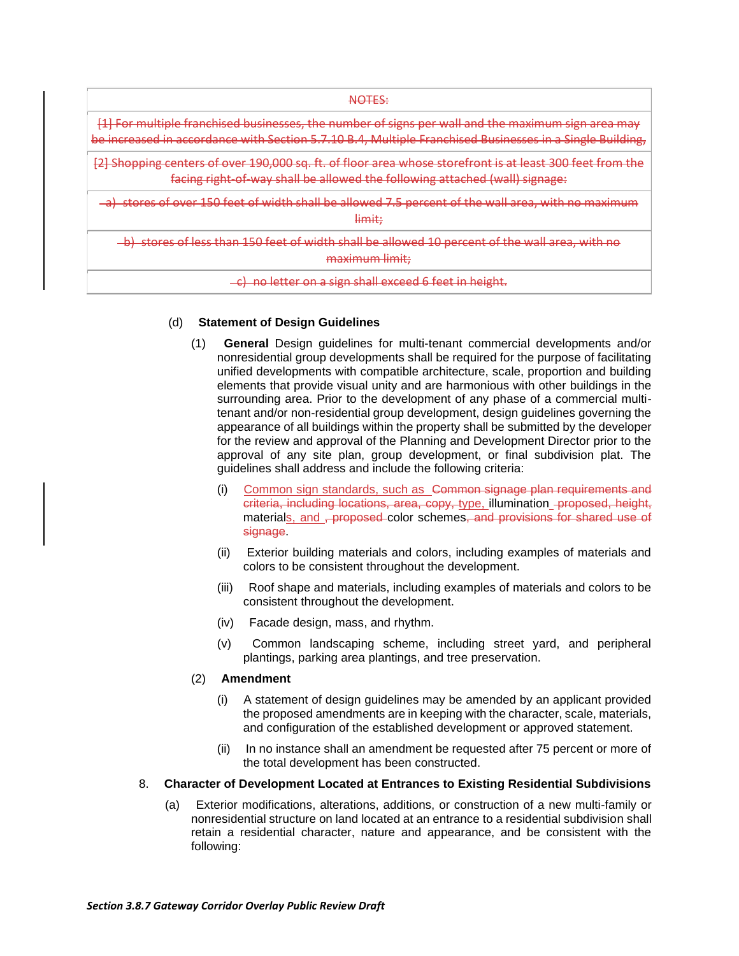NOTES:

[1] For multiple franchised businesses, the number of signs per wall and the maximum sign area may be increased in accordance with Section 5.7.10 B.4, Multiple Franchised Businesses in a Single Building,

[2] Shopping centers of over 190,000 sq. ft. of floor area whose storefront is at least 300 feet from the facing right-of-way shall be allowed the following attached (wall) signage:

a) stores of over 150 feet of width shall be allowed 7.5 percent of the wall area, with no maximum limit;

b) stores of less than 150 feet of width shall be allowed 10 percent of the wall area, with no maximum limit;

#### c) no letter on a sign shall exceed 6 feet in height.

### (d) **Statement of Design Guidelines**

- (1) **General** Design guidelines for multi-tenant commercial developments and/or nonresidential group developments shall be required for the purpose of facilitating unified developments with compatible architecture, scale, proportion and building elements that provide visual unity and are harmonious with other buildings in the surrounding area. Prior to the development of any phase of a commercial multitenant and/or non-residential group development, design guidelines governing the appearance of all buildings within the property shall be submitted by the developer for the review and approval of the Planning and Development Director prior to the approval of any site plan, group development, or final subdivision plat. The guidelines shall address and include the following criteria:
	- (i) Common sign standards, such as Common signage plan requirements and criteria, including locations, area, copy, type, illumination proposed, height, materials, and <del>, proposed</del> color schemes, and provisions for shared use of signage.
	- (ii) Exterior building materials and colors, including examples of materials and colors to be consistent throughout the development.
	- (iii) Roof shape and materials, including examples of materials and colors to be consistent throughout the development.
	- (iv) Facade design, mass, and rhythm.
	- (v) Common landscaping scheme, including street yard, and peripheral plantings, parking area plantings, and tree preservation.

### (2) **Amendment**

- (i) A statement of design guidelines may be amended by an applicant provided the proposed amendments are in keeping with the character, scale, materials, and configuration of the established development or approved statement.
- (ii) In no instance shall an amendment be requested after 75 percent or more of the total development has been constructed.

# 8. **Character of Development Located at Entrances to Existing Residential Subdivisions**

(a) Exterior modifications, alterations, additions, or construction of a new multi-family or nonresidential structure on land located at an entrance to a residential subdivision shall retain a residential character, nature and appearance, and be consistent with the following: